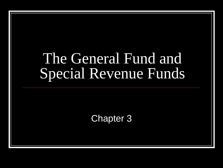# The General Fund and Special Revenue Funds

#### Chapter 3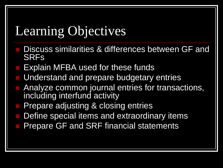# Learning Objectives

- Discuss similarities & differences between GF and SRFs
- Explain MFBA used for these funds
- Understand and prepare budgetary entries
- Analyze common journal entries for transactions, including interfund activity
- Prepare adjusting & closing entries
- Define special items and extraordinary items
- Prepare GF and SRF financial statements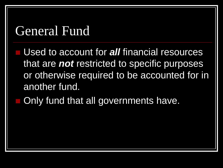### General Fund

 Used to account for *all* financial resources that are *not* restricted to specific purposes or otherwise required to be accounted for in another fund.

Only fund that all governments have.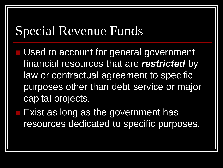### Special Revenue Funds

Used to account for general government financial resources that are *restricted* by law or contractual agreement to specific purposes other than debt service or major capital projects.

 Exist as long as the government has resources dedicated to specific purposes.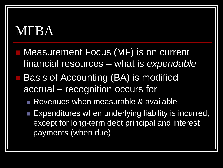### MFBA

- Measurement Focus (MF) is on current financial resources – what is *expendable*
- Basis of Accounting (BA) is modified accrual – recognition occurs for
	- Revenues when measurable & available
	- **Expenditures when underlying liability is incurred,** except for long-term debt principal and interest payments (when due)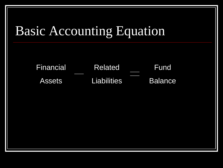# Basic Accounting Equation

Related **Liabilities** Fund Balance Financial Assets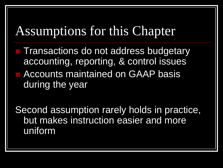### Assumptions for this Chapter

**Transactions do not address budgetary** accounting, reporting, & control issues **E** Accounts maintained on GAAP basis during the year

Second assumption rarely holds in practice, but makes instruction easier and more uniform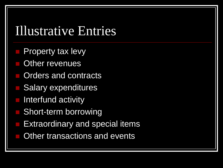### Illustrative Entries

- Property tax levy
- Other revenues
- Orders and contracts
- Salary expenditures
- Interfund activity
- Short-term borrowing
- Extraordinary and special items
- Other transactions and events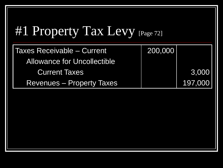| #1 Property Tax Levy [Page 72]     |         |         |  |  |
|------------------------------------|---------|---------|--|--|
| <b>Taxes Receivable - Current</b>  | 200,000 |         |  |  |
| <b>Allowance for Uncollectible</b> |         |         |  |  |
| <b>Current Taxes</b>               |         | 3,000   |  |  |
| <b>Revenues – Property Taxes</b>   |         | 197,000 |  |  |
|                                    |         |         |  |  |
|                                    |         |         |  |  |
|                                    |         |         |  |  |
|                                    |         |         |  |  |
|                                    |         |         |  |  |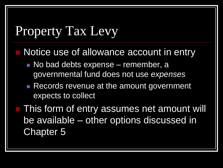### Property Tax Levy

- Notice use of allowance account in entry
	- No bad debts expense remember, a governmental fund does not use *expenses*
	- Records revenue at the amount government expects to collect
- This form of entry assumes net amount will be available – other options discussed in Chapter 5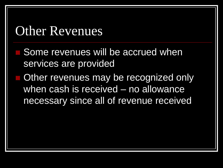### Other Revenues

- Some revenues will be accrued when services are provided
- Other revenues may be recognized only when cash is received – no allowance necessary since all of revenue received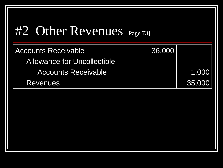### #2 Other Revenues [Page 73]

| <b>Accounts Receivable</b>         | 36,000 |        |
|------------------------------------|--------|--------|
| <b>Allowance for Uncollectible</b> |        |        |
| <b>Accounts Receivable</b>         |        | 1,000  |
| <b>Revenues</b>                    |        | 35,000 |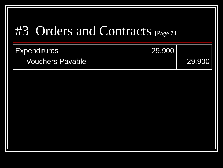## #3 Orders and Contracts [Page 74]

| <b>Expenditures</b>     | 29,900 |        |
|-------------------------|--------|--------|
| <b>Vouchers Payable</b> |        | 29,900 |
|                         |        |        |
|                         |        |        |
|                         |        |        |
|                         |        |        |
|                         |        |        |
|                         |        |        |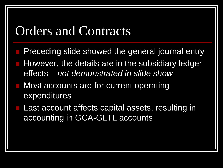#### Orders and Contracts

- Preceding slide showed the general journal entry
- However, the details are in the subsidiary ledger effects – *not demonstrated in slide show*
- Most accounts are for current operating expenditures
- Last account affects capital assets, resulting in accounting in GCA-GLTL accounts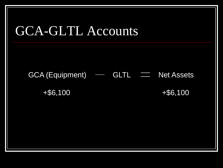

 $GCA$  (Equipment)  $\longrightarrow$  GLTL  $\equiv$  Net Assets

+\$6,100 + + \$6,100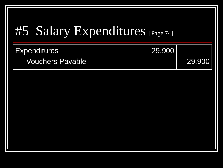# #5 Salary Expenditures [Page 74]

| <b>Expenditures</b>     | 29,900 |        |
|-------------------------|--------|--------|
| <b>Vouchers Payable</b> |        | 29,900 |
|                         |        |        |
|                         |        |        |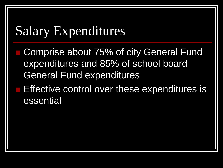### Salary Expenditures

- Comprise about 75% of city General Fund expenditures and 85% of school board General Fund expenditures
- **Effective control over these expenditures is** essential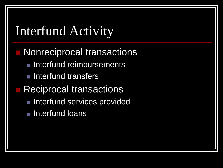# Interfund Activity Nonreciprocal transactions **Interfund reimbursements Interfund transfers Reciprocal transactions Interfund services provided Interfund loans**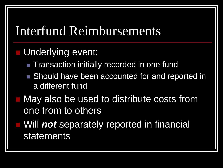### Interfund Reimbursements

#### Underlying event:

- **Transaction initially recorded in one fund**
- Should have been accounted for and reported in a different fund
- May also be used to distribute costs from one from to others
- Will *not* separately reported in financial statements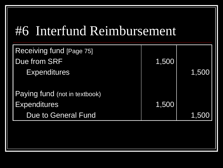## #6 Interfund Reimbursement

| Receiving fund [Page 75]      |       |       |
|-------------------------------|-------|-------|
| Due from SRF                  | 1,500 |       |
| <b>Expenditures</b>           |       | 1,500 |
|                               |       |       |
| Paying fund (not in textbook) |       |       |
| <b>Expenditures</b>           | 1,500 |       |
| <b>Due to General Fund</b>    |       | 1,500 |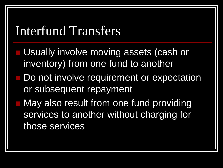### Interfund Transfers

- Usually involve moving assets (cash or inventory) from one fund to another
- Do not involve requirement or expectation or subsequent repayment
- May also result from one fund providing services to another without charging for those services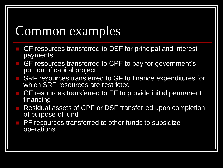# Common examples

- GF resources transferred to DSF for principal and interest payments
- GF resources transferred to CPF to pay for government's portion of capital project
- SRF resources transferred to GF to finance expenditures for which SRF resources are restricted
- GF resources transferred to EF to provide initial permanent financing
- Residual assets of CPF or DSF transferred upon completion of purpose of fund
- PF resources transferred to other funds to subsidize operations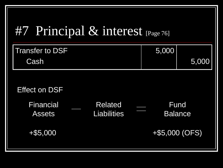# #7 Principal & interest [Page 76]

| <b>Transfer to DSF</b><br>Cash    |                                      | 5,000 | 5,000                  |
|-----------------------------------|--------------------------------------|-------|------------------------|
| <b>Effect on DSF</b>              |                                      |       |                        |
| <b>Financial</b><br><b>Assets</b> | <b>Related</b><br><b>Liabilities</b> |       | Fund<br><b>Balance</b> |
| $+$ \$5,000                       |                                      |       | +\$5,000 (OFS)         |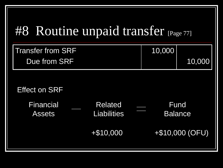## #8 Routine unpaid transfer [Page 77]

| <b>Transfer from SRF</b>          |                                      | 10,000 |                        |
|-----------------------------------|--------------------------------------|--------|------------------------|
| Due from SRF                      |                                      |        | 10,000                 |
|                                   |                                      |        |                        |
| <b>Effect on SRF</b>              |                                      |        |                        |
| <b>Financial</b><br><b>Assets</b> | <b>Related</b><br><b>Liabilities</b> |        | Fund<br><b>Balance</b> |
|                                   | $+$10,000$                           |        | +\$10,000 (OFU)        |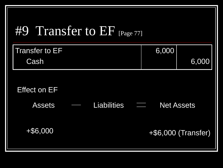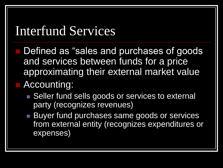### Interfund Services

- Defined as "sales and purchases of goods and services between funds for a price approximating their external market value ■ Accounting:
	- Seller fund sells goods or services to external party (recognizes revenues)
	- **Buyer fund purchases same goods or services** from external entity (recognizes expenditures or expenses)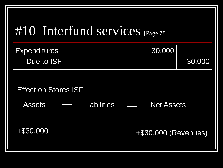

| <b>Expenditures</b> | 30,000 |        |
|---------------------|--------|--------|
| Due to ISF          |        | 30,000 |

#### Effect on Stores ISF

Assets — Liabilities — Net Assets

+\$30,000 +\$30,000 (Revenues)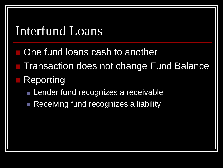### Interfund Loans

- One fund loans cash to another
- Transaction does not change Fund Balance
- **Reporting** 
	- **Lender fund recognizes a receivable**
	- Receiving fund recognizes a liability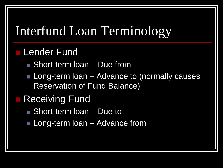# Interfund Loan Terminology

#### **Lender Fund**

- Short-term loan Due from
- **Long-term loan** Advance to (normally causes Reservation of Fund Balance)

#### Receiving Fund

- Short-term loan Due to
- **Long-term loan** Advance from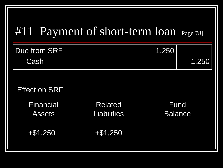#### #11 Payment of short-term loan [Page 78]

| Due from SRF | 1.250 |       |
|--------------|-------|-------|
| <b>Cash</b>  |       | 1,250 |

#### Effect on SRF

| Financial<br><b>Assets</b> | <b>Related</b><br><b>Liabilities</b> | Fund<br><b>Balance</b> |  |
|----------------------------|--------------------------------------|------------------------|--|
| $+$ \$1,250                | $+ $1,250$                           |                        |  |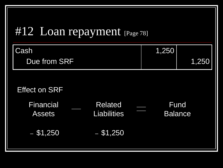### #12 Loan repayment [Page 78]

| Cash                              |                                      | 1,250 |                               |
|-----------------------------------|--------------------------------------|-------|-------------------------------|
| Due from SRF                      |                                      |       | 1,250                         |
|                                   |                                      |       |                               |
| <b>Effect on SRF</b>              |                                      |       |                               |
| <b>Financial</b><br><b>Assets</b> | <b>Related</b><br><b>Liabilities</b> |       | <b>Fund</b><br><b>Balance</b> |
| $-$ \$1,250                       | $-$ \$1,250                          |       |                               |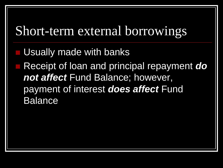### Short-term external borrowings

Usually made with banks

 Receipt of loan and principal repayment *do not affect* Fund Balance; however, payment of interest *does affect* Fund Balance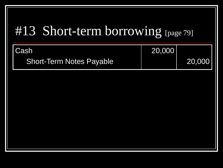# #13 Short-term borrowing [page 79]

| <b>ICash</b>                    | 20,000 |        |
|---------------------------------|--------|--------|
| <b>Short-Term Notes Payable</b> |        | 20,000 |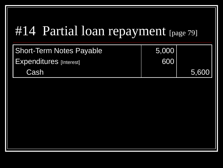# #14 Partial loan repayment [page 79]

| <b>Short-Term Notes Payable</b> | 5,000 |       |
|---------------------------------|-------|-------|
| <b>Expenditures</b> [Interest]  | 600   |       |
| Cash                            |       | 5,600 |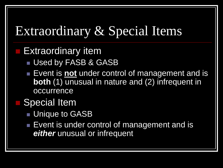# Extraordinary & Special Items

Extraordinary item

- Used by FASB & GASB
- Event is **not** under control of management and is **both** (1) unusual in nature and (2) infrequent in occurrence

#### Special Item

- Unique to GASB
- **Event is under control of management and is** *either* unusual or infrequent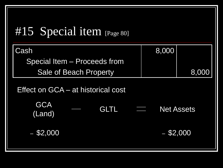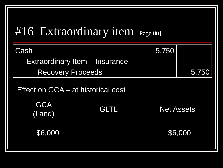#### #16 Extraordinary item [Page 80]

| Cash                                | 5,750       |                   |
|-------------------------------------|-------------|-------------------|
| Extraordinary Item - Insurance      |             |                   |
| <b>Recovery Proceeds</b>            |             | 5,75 <u>0</u>     |
| Effect on GCA – at historical cost  |             |                   |
| <b>GCA</b><br><b>GLTL</b><br>(Land) |             | <b>Net Assets</b> |
| $-$ \$6,000                         | $-$ \$6,000 |                   |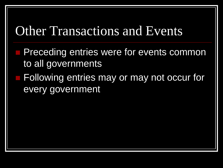### Other Transactions and Events

- Preceding entries were for events common to all governments
- Following entries may or may not occur for every government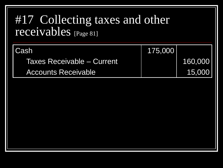#### #17 Collecting taxes and other receivables [Page 81]

| l Cash                     | 175,000 |         |
|----------------------------|---------|---------|
| Taxes Receivable – Current |         | 160,000 |
| <b>Accounts Receivable</b> |         | 15,000  |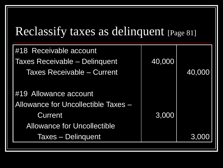#### Reclassify taxes as delinquent [Page 81]

| #18 Receivable account              |        |        |
|-------------------------------------|--------|--------|
| Taxes Receivable - Delinquent       | 40,000 |        |
| <b>Taxes Receivable - Current</b>   |        | 40,000 |
|                                     |        |        |
| #19 Allowance account               |        |        |
| Allowance for Uncollectible Taxes - |        |        |
| <b>Current</b>                      | 3,000  |        |
| <b>Allowance for Uncollectible</b>  |        |        |
| Taxes – Delinquent                  |        | 3,000  |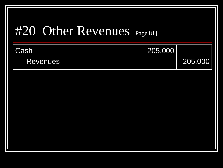### #20 Other Revenues [Page 81]

| I Cash <sup>i</sup> | 205,000 |         |
|---------------------|---------|---------|
| <b>Revenues</b>     |         | 205,000 |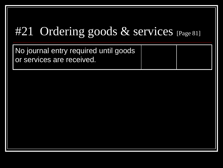#### #21 Ordering goods & services [Page 81]

No journal entry required until goods or services are received.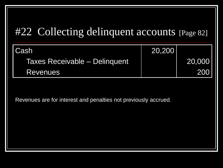#### #22 Collecting delinquent accounts [Page 82]

| l Cash                        | 20,200 |             |
|-------------------------------|--------|-------------|
| Taxes Receivable - Delinquent |        | 20,000      |
| <b>Revenues</b>               |        | <b>2001</b> |

Revenues are for interest and penalties not previously accrued.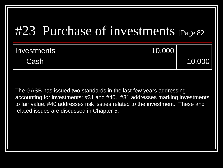### #23 Purchase of investments [Page 82]

| Investments | 10,000 |        |
|-------------|--------|--------|
| Cash        |        | 10,000 |

The GASB has issued two standards in the last few years addressing accounting for investments: #31 and #40. #31 addresses marking investments to fair value. #40 addresses risk issues related to the investment. These and related issues are discussed in Chapter 5.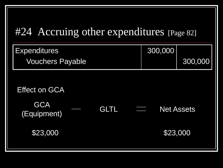#### #24 Accruing other expenditures [Page 82]

| <b>Expenditures</b>       |             | 300,000 |                   |
|---------------------------|-------------|---------|-------------------|
| <b>Vouchers Payable</b>   |             |         | 300,000           |
|                           |             |         |                   |
| <b>Effect on GCA</b>      |             |         |                   |
| <b>GCA</b><br>(Equipment) | <b>GLTL</b> | W       | <b>Net Assets</b> |
| \$23,000                  |             |         | \$23,000          |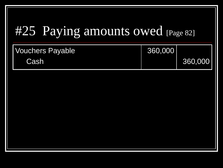# #25 Paying amounts owed [Page 82]

| Vouchers Payable | 360,000 |         |
|------------------|---------|---------|
| <b>Cash</b>      |         | 360,000 |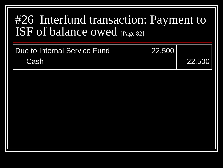#### #26 Interfund transaction: Payment to ISF of balance owed [Page 82]

| <b>I Due to Internal Service Fund</b> | 22,500 |        |
|---------------------------------------|--------|--------|
| <b>Cash</b>                           |        | 22,500 |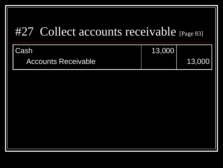#### #27 Collect accounts receivable [Page 83]

| Cash                       | 13,000 |        |
|----------------------------|--------|--------|
| <b>Accounts Receivable</b> |        | 13,000 |
|                            |        |        |
|                            |        |        |
|                            |        |        |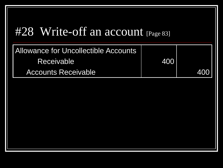#### #28 Write-off an account [Page 83]

| Allowance for Uncollectible Accounts |     |     |
|--------------------------------------|-----|-----|
| Receivable <sup>1</sup>              | 400 |     |
| <b>Accounts Receivable</b>           |     | 400 |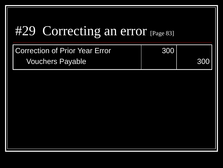# #29 Correcting an error [Page 83]

| Correction of Prior Year Error | 300 |        |
|--------------------------------|-----|--------|
| <b>Vouchers Payable</b>        |     | 1300 I |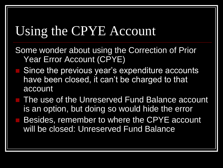### Using the CPYE Account

- Some wonder about using the Correction of Prior Year Error Account (CPYE)
- Since the previous year's expenditure accounts have been closed, it can't be charged to that account
- The use of the Unreserved Fund Balance account is an option, but doing so would hide the error
- Besides, remember to where the CPYE account will be closed: Unreserved Fund Balance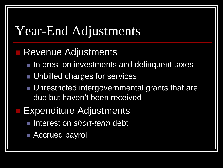### Year-End Adjustments

#### Revenue Adjustments

- Interest on investments and delinquent taxes
- **Unbilled charges for services**
- **Unrestricted intergovernmental grants that are** due but haven't been received
- Expenditure Adjustments
	- Interest on *short-term* debt
	- Accrued payroll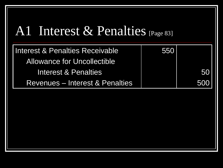### A1 Interest & Penalties [Page 83]

| <b>Interest &amp; Penalties Receivable</b> | 550 |     |
|--------------------------------------------|-----|-----|
| <b>Allowance for Uncollectible</b>         |     |     |
| <b>Interest &amp; Penalties</b>            |     | 50  |
| <b>Revenues – Interest &amp; Penalties</b> |     | 500 |
|                                            |     |     |
|                                            |     |     |
|                                            |     |     |
|                                            |     |     |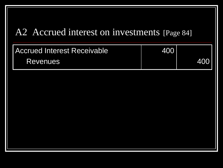#### A2 Accrued interest on investments [Page 84]

| <b>Accrued Interest Receivable</b> | 400 |       |
|------------------------------------|-----|-------|
| <b>Revenues</b>                    |     | 400 l |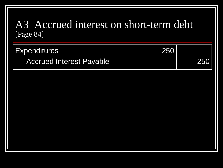#### A3 Accrued interest on short-term debt [Page 84]

| Expenditures                    | 250 |       |
|---------------------------------|-----|-------|
| <b>Accrued Interest Payable</b> |     | 250 l |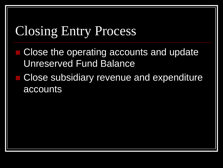### Closing Entry Process

- Close the operating accounts and update Unreserved Fund Balance
- Close subsidiary revenue and expenditure accounts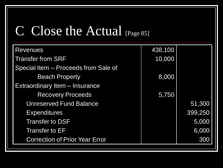### C Close the Actual [Page 85]

| <b>Revenues</b>                       | 438,100 |         |
|---------------------------------------|---------|---------|
| <b>Transfer from SRF</b>              | 10,000  |         |
| Special Item - Proceeds from Sale of  |         |         |
| <b>Beach Property</b>                 | 8,000   |         |
| Extraordinary Item - Insurance        |         |         |
| <b>Recovery Proceeds</b>              | 5,750   |         |
| <b>Unreserved Fund Balance</b>        |         | 51,300  |
| <b>Expenditures</b>                   |         | 399,250 |
| <b>Transfer to DSF</b>                |         | 5,000   |
| <b>Transfer to EF</b>                 |         | 6,000   |
| <b>Correction of Prior Year Error</b> |         | 300     |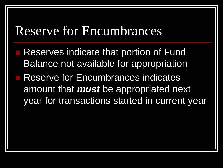### Reserve for Encumbrances

 Reserves indicate that portion of Fund Balance not available for appropriation Reserve for Encumbrances indicates amount that *must* be appropriated next year for transactions started in current year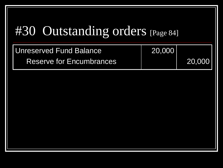# #30 Outstanding orders [Page 84]

| Unreserved Fund Balance  | 20,000 |        |
|--------------------------|--------|--------|
| Reserve for Encumbrances |        | 20,000 |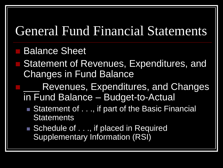### General Fund Financial Statements

#### Balance Sheet

- Statement of Revenues, Expenditures, and Changes in Fund Balance
	- Revenues, Expenditures, and Changes in Fund Balance – Budget-to-Actual
		- Statement of . . ., if part of the Basic Financial **Statements**
		- Schedule of . . ., if placed in Required Supplementary Information (RSI)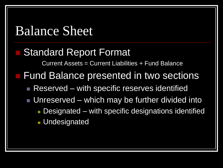#### Balance Sheet

#### Standard Report Format

Current Assets = Current Liabilities + Fund Balance

- **Fund Balance presented in two sections** 
	- Reserved with specific reserves identified
	- Unreserved which may be further divided into
		- **Designated with specific designations identified Undesignated**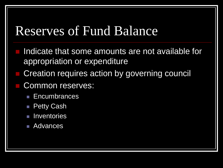### Reserves of Fund Balance

- Indicate that some amounts are not available for appropriation or expenditure
- Creation requires action by governing council
- Common reserves:
	- **Encumbrances**
	- **Petty Cash**
	- **Inventories**
	- **Advances**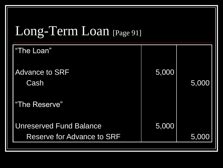# Long-Term Loan [Page 91]

| "The Loan"                        |       |       |
|-----------------------------------|-------|-------|
| <b>Advance to SRF</b><br>Cash     | 5,000 | 5,000 |
| "The Reserve"                     |       |       |
| <b>Unreserved Fund Balance</b>    | 5,000 |       |
| <b>Reserve for Advance to SRF</b> |       | 5,000 |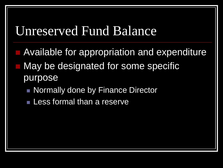#### Unreserved Fund Balance

- Available for appropriation and expenditure
- May be designated for some specific purpose
	- **Normally done by Finance Director**
	- **Less formal than a reserve**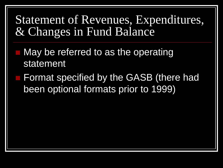Statement of Revenues, Expenditures, & Changes in Fund Balance

- May be referred to as the operating statement
- Format specified by the GASB (there had been optional formats prior to 1999)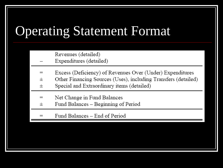# Operating Statement Format

Revenues (detailed)

- Expenditures (detailed)
- Excess (Deficiency) of Revenues Over (Under) Expenditures  $=$
- Other Financing Sources (Uses), including Transfers (detailed)  $^{+}$
- Special and Extraordinary items (detailed)  $^{+}$
- Net Change in Fund Balances  $=$
- Fund Balances Beginning of Period  $^+$
- Fund Balances End of Period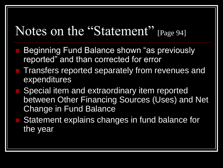### Notes on the "Statement" [Page 94]

- Beginning Fund Balance shown "as previously reported" and than corrected for error
- Transfers reported separately from revenues and expenditures
- Special item and extraordinary item reported between Other Financing Sources (Uses) and Net Change in Fund Balance
- Statement explains changes in fund balance for the year